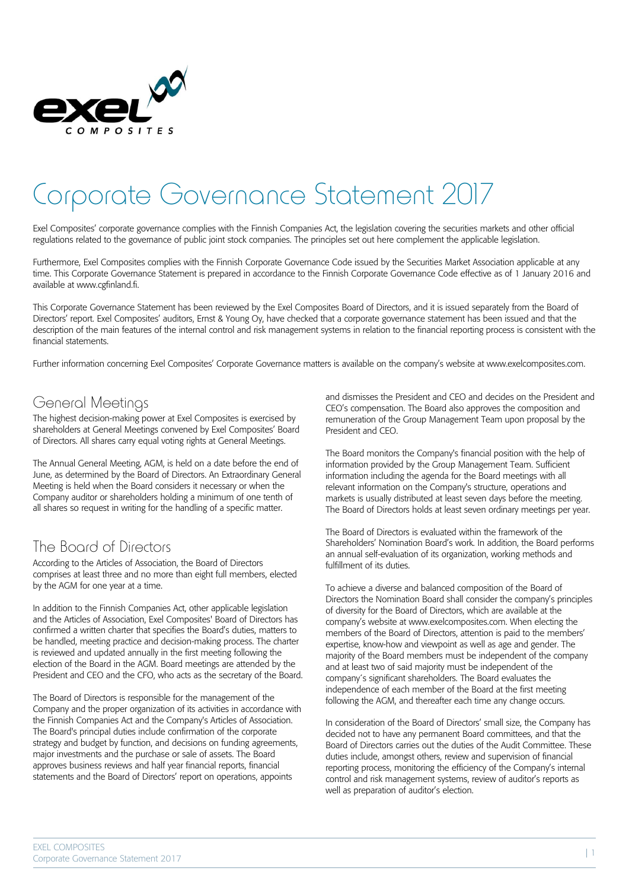

# Corporate Governance Statement 2017

Exel Composites' corporate governance complies with the Finnish Companies Act, the legislation covering the securities markets and other official regulations related to the governance of public joint stock companies. The principles set out here complement the applicable legislation.

Furthermore, Exel Composites complies with the Finnish Corporate Governance Code issued by the Securities Market Association applicable at any time. This Corporate Governance Statement is prepared in accordance to the Finnish Corporate Governance Code effective as of 1 January 2016 and available at www.cgfinland.fi.

This Corporate Governance Statement has been reviewed by the Exel Composites Board of Directors, and it is issued separately from the Board of Directors' report. Exel Composites' auditors, Ernst & Young Oy, have checked that a corporate governance statement has been issued and that the description of the main features of the internal control and risk management systems in relation to the financial reporting process is consistent with the financial statements.

Further information concerning Exel Composites' Corporate Governance matters is available on the company's website at www.exelcomposites.com.

## General Meetings

The highest decision-making power at Exel Composites is exercised by shareholders at General Meetings convened by Exel Composites' Board of Directors. All shares carry equal voting rights at General Meetings.

The Annual General Meeting, AGM, is held on a date before the end of June, as determined by the Board of Directors. An Extraordinary General Meeting is held when the Board considers it necessary or when the Company auditor or shareholders holding a minimum of one tenth of all shares so request in writing for the handling of a specific matter.

# The Board of Directors

According to the Articles of Association, the Board of Directors comprises at least three and no more than eight full members, elected by the AGM for one year at a time.

In addition to the Finnish Companies Act, other applicable legislation and the Articles of Association, Exel Composites' Board of Directors has confirmed a written charter that specifies the Board's duties, matters to be handled, meeting practice and decision-making process. The charter is reviewed and updated annually in the first meeting following the election of the Board in the AGM. Board meetings are attended by the President and CEO and the CFO, who acts as the secretary of the Board.

The Board of Directors is responsible for the management of the Company and the proper organization of its activities in accordance with the Finnish Companies Act and the Company's Articles of Association. The Board's principal duties include confirmation of the corporate strategy and budget by function, and decisions on funding agreements, major investments and the purchase or sale of assets. The Board approves business reviews and half year financial reports, financial statements and the Board of Directors' report on operations, appoints

and dismisses the President and CEO and decides on the President and CEO's compensation. The Board also approves the composition and remuneration of the Group Management Team upon proposal by the President and CEO.

The Board monitors the Company's financial position with the help of information provided by the Group Management Team. Sufficient information including the agenda for the Board meetings with all relevant information on the Company's structure, operations and markets is usually distributed at least seven days before the meeting. The Board of Directors holds at least seven ordinary meetings per year.

The Board of Directors is evaluated within the framework of the Shareholders' Nomination Board's work. In addition, the Board performs an annual self-evaluation of its organization, working methods and fulfillment of its duties.

To achieve a diverse and balanced composition of the Board of Directors the Nomination Board shall consider the company's principles of diversity for the Board of Directors, which are available at the company's website at www.exelcomposites.com. When electing the members of the Board of Directors, attention is paid to the members' expertise, know-how and viewpoint as well as age and gender. The majority of the Board members must be independent of the company and at least two of said majority must be independent of the company´s significant shareholders. The Board evaluates the independence of each member of the Board at the first meeting following the AGM, and thereafter each time any change occurs.

In consideration of the Board of Directors' small size, the Company has decided not to have any permanent Board committees, and that the Board of Directors carries out the duties of the Audit Committee. These duties include, amongst others, review and supervision of financial reporting process, monitoring the efficiency of the Company's internal control and risk management systems, review of auditor's reports as well as preparation of auditor's election.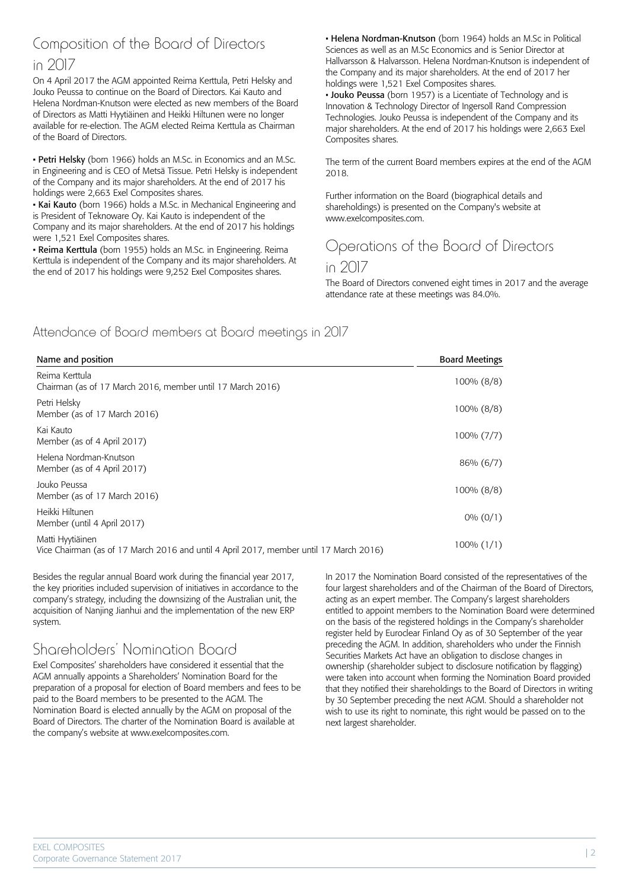### Composition of the Board of Directors in 2017

On 4 April 2017 the AGM appointed Reima Kerttula, Petri Helsky and Jouko Peussa to continue on the Board of Directors. Kai Kauto and Helena Nordman-Knutson were elected as new members of the Board of Directors as Matti Hyytiäinen and Heikki Hiltunen were no longer available for re-election. The AGM elected Reima Kerttula as Chairman of the Board of Directors.

• Petri Helsky (born 1966) holds an M.Sc. in Economics and an M.Sc. in Engineering and is CEO of Metsä Tissue. Petri Helsky is independent of the Company and its major shareholders. At the end of 2017 his holdings were 2,663 Exel Composites shares.

• Kai Kauto (born 1966) holds a M.Sc. in Mechanical Engineering and is President of Teknoware Oy. Kai Kauto is independent of the Company and its major shareholders. At the end of 2017 his holdings were 1,521 Exel Composites shares.

• Reima Kerttula (born 1955) holds an M.Sc. in Engineering. Reima Kerttula is independent of the Company and its major shareholders. At the end of 2017 his holdings were 9,252 Exel Composites shares.

• Helena Nordman-Knutson (born 1964) holds an M.Sc in Political Sciences as well as an M.Sc Economics and is Senior Director at Hallvarsson & Halvarsson. Helena Nordman-Knutson is independent of the Company and its major shareholders. At the end of 2017 her holdings were 1,521 Exel Composites shares.

• Jouko Peussa (born 1957) is a Licentiate of Technology and is Innovation & Technology Director of Ingersoll Rand Compression Technologies. Jouko Peussa is independent of the Company and its major shareholders. At the end of 2017 his holdings were 2,663 Exel Composites shares.

The term of the current Board members expires at the end of the AGM 2018.

Further information on the Board (biographical details and shareholdings) is presented on the Company's website at www.exelcomposites.com.

# Operations of the Board of Directors

#### in 2017

The Board of Directors convened eight times in 2017 and the average attendance rate at these meetings was 84.0%.

#### Attendance of Board members at Board meetings in 2017

| Name and position                                                                                          | <b>Board Meetings</b> |
|------------------------------------------------------------------------------------------------------------|-----------------------|
| Reima Kerttula<br>Chairman (as of 17 March 2016, member until 17 March 2016)                               | 100% (8/8)            |
| Petri Helsky<br>Member (as of 17 March 2016)                                                               | 100% (8/8)            |
| Kai Kauto<br>Member (as of 4 April 2017)                                                                   | $100\% (7/7)$         |
| Helena Nordman-Knutson<br>Member (as of 4 April 2017)                                                      | 86% (6/7)             |
| Jouko Peussa<br>Member (as of 17 March 2016)                                                               | 100% (8/8)            |
| Heikki Hiltunen<br>Member (until 4 April 2017)                                                             | $0\% (0/1)$           |
| Matti Hyytiäinen<br>Vice Chairman (as of 17 March 2016 and until 4 April 2017, member until 17 March 2016) | $100\%$ $(1/1)$       |

Besides the regular annual Board work during the financial year 2017, the key priorities included supervision of initiatives in accordance to the company's strategy, including the downsizing of the Australian unit, the acquisition of Nanjing Jianhui and the implementation of the new ERP system.

## Shareholders' Nomination Board

Exel Composites' shareholders have considered it essential that the AGM annually appoints a Shareholders' Nomination Board for the preparation of a proposal for election of Board members and fees to be paid to the Board members to be presented to the AGM. The Nomination Board is elected annually by the AGM on proposal of the Board of Directors. The charter of the Nomination Board is available at the company's website at www.exelcomposites.com.

In 2017 the Nomination Board consisted of the representatives of the four largest shareholders and of the Chairman of the Board of Directors, acting as an expert member. The Company's largest shareholders entitled to appoint members to the Nomination Board were determined on the basis of the registered holdings in the Company's shareholder register held by Euroclear Finland Oy as of 30 September of the year preceding the AGM. In addition, shareholders who under the Finnish Securities Markets Act have an obligation to disclose changes in ownership (shareholder subject to disclosure notification by flagging) were taken into account when forming the Nomination Board provided that they notified their shareholdings to the Board of Directors in writing by 30 September preceding the next AGM. Should a shareholder not wish to use its right to nominate, this right would be passed on to the next largest shareholder.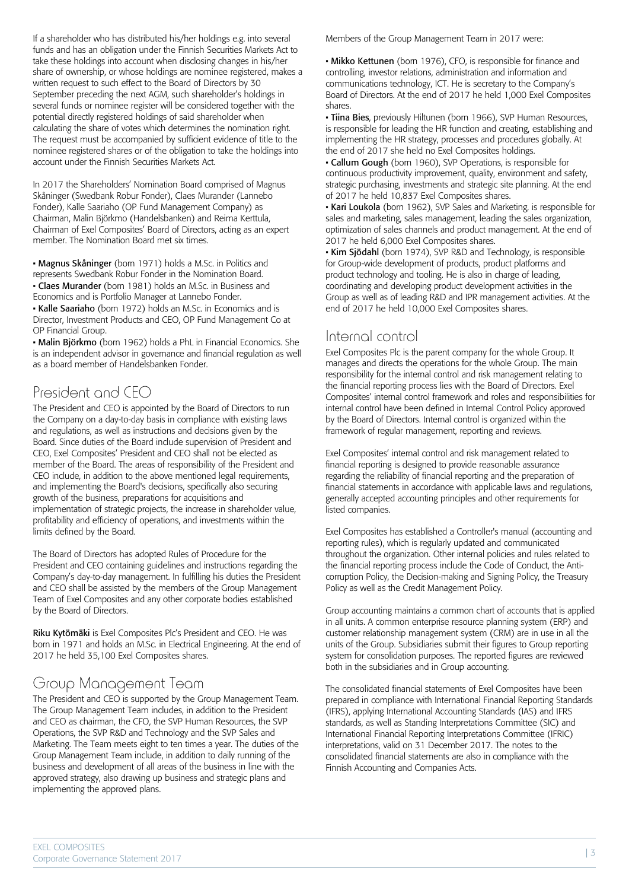If a shareholder who has distributed his/her holdings e.g. into several funds and has an obligation under the Finnish Securities Markets Act to take these holdings into account when disclosing changes in his/her share of ownership, or whose holdings are nominee registered, makes a written request to such effect to the Board of Directors by 30 September preceding the next AGM, such shareholder's holdings in several funds or nominee register will be considered together with the potential directly registered holdings of said shareholder when calculating the share of votes which determines the nomination right. The request must be accompanied by sufficient evidence of title to the nominee registered shares or of the obligation to take the holdings into account under the Finnish Securities Markets Act.

In 2017 the Shareholders' Nomination Board comprised of Magnus Skåninger (Swedbank Robur Fonder), Claes Murander (Lannebo Fonder), Kalle Saariaho (OP Fund Management Company) as Chairman, Malin Björkmo (Handelsbanken) and Reima Kerttula, Chairman of Exel Composites' Board of Directors, acting as an expert member. The Nomination Board met six times.

• Magnus Skåninger (born 1971) holds a M.Sc. in Politics and represents Swedbank Robur Fonder in the Nomination Board.

• Claes Murander (born 1981) holds an M.Sc. in Business and

Economics and is Portfolio Manager at Lannebo Fonder.

• Kalle Saariaho (born 1972) holds an M.Sc. in Economics and is Director, Investment Products and CEO, OP Fund Management Co at OP Financial Group.

• Malin Björkmo (born 1962) holds a PhL in Financial Economics. She is an independent advisor in governance and financial regulation as well as a board member of Handelsbanken Fonder.

## President and CEO

The President and CEO is appointed by the Board of Directors to run the Company on a day-to-day basis in compliance with existing laws and regulations, as well as instructions and decisions given by the Board. Since duties of the Board include supervision of President and CEO, Exel Composites' President and CEO shall not be elected as member of the Board. The areas of responsibility of the President and CEO include, in addition to the above mentioned legal requirements, and implementing the Board's decisions, specifically also securing growth of the business, preparations for acquisitions and implementation of strategic projects, the increase in shareholder value, profitability and efficiency of operations, and investments within the limits defined by the Board.

The Board of Directors has adopted Rules of Procedure for the President and CEO containing guidelines and instructions regarding the Company's day-to-day management. In fulfilling his duties the President and CEO shall be assisted by the members of the Group Management Team of Exel Composites and any other corporate bodies established by the Board of Directors.

Riku Kytömäki is Exel Composites Plc's President and CEO. He was born in 1971 and holds an M.Sc. in Electrical Engineering. At the end of 2017 he held 35,100 Exel Composites shares.

# Group Management Ieam

The President and CEO is supported by the Group Management Team. The Group Management Team includes, in addition to the President and CEO as chairman, the CFO, the SVP Human Resources, the SVP Operations, the SVP R&D and Technology and the SVP Sales and Marketing. The Team meets eight to ten times a year. The duties of the Group Management Team include, in addition to daily running of the business and development of all areas of the business in line with the approved strategy, also drawing up business and strategic plans and implementing the approved plans.

Members of the Group Management Team in 2017 were:

• Mikko Kettunen (born 1976), CFO, is responsible for finance and controlling, investor relations, administration and information and communications technology, ICT. He is secretary to the Company's Board of Directors. At the end of 2017 he held 1,000 Exel Composites shares.

• Tiina Bies, previously Hiltunen (born 1966), SVP Human Resources, is responsible for leading the HR function and creating, establishing and implementing the HR strategy, processes and procedures globally. At the end of 2017 she held no Exel Composites holdings.

• Callum Gough (born 1960), SVP Operations, is responsible for continuous productivity improvement, quality, environment and safety, strategic purchasing, investments and strategic site planning. At the end of 2017 he held 10,837 Exel Composites shares.

• Kari Loukola (born 1962), SVP Sales and Marketing, is responsible for sales and marketing, sales management, leading the sales organization, optimization of sales channels and product management. At the end of 2017 he held 6,000 Exel Composites shares.

• Kim Sjödahl (born 1974), SVP R&D and Technology, is responsible for Group-wide development of products, product platforms and product technology and tooling. He is also in charge of leading, coordinating and developing product development activities in the Group as well as of leading R&D and IPR management activities. At the end of 2017 he held 10,000 Exel Composites shares.

#### Internal control

Exel Composites Plc is the parent company for the whole Group. It manages and directs the operations for the whole Group. The main responsibility for the internal control and risk management relating to the financial reporting process lies with the Board of Directors. Exel Composites' internal control framework and roles and responsibilities for internal control have been defined in Internal Control Policy approved by the Board of Directors. Internal control is organized within the framework of regular management, reporting and reviews.

Exel Composites' internal control and risk management related to financial reporting is designed to provide reasonable assurance regarding the reliability of financial reporting and the preparation of financial statements in accordance with applicable laws and regulations, generally accepted accounting principles and other requirements for listed companies.

Exel Composites has established a Controller's manual (accounting and reporting rules), which is regularly updated and communicated throughout the organization. Other internal policies and rules related to the financial reporting process include the Code of Conduct, the Anticorruption Policy, the Decision-making and Signing Policy, the Treasury Policy as well as the Credit Management Policy.

Group accounting maintains a common chart of accounts that is applied in all units. A common enterprise resource planning system (ERP) and customer relationship management system (CRM) are in use in all the units of the Group. Subsidiaries submit their figures to Group reporting system for consolidation purposes. The reported figures are reviewed both in the subsidiaries and in Group accounting.

The consolidated financial statements of Exel Composites have been prepared in compliance with International Financial Reporting Standards (IFRS), applying International Accounting Standards (IAS) and IFRS standards, as well as Standing Interpretations Committee (SIC) and International Financial Reporting Interpretations Committee (IFRIC) interpretations, valid on 31 December 2017. The notes to the consolidated financial statements are also in compliance with the Finnish Accounting and Companies Acts.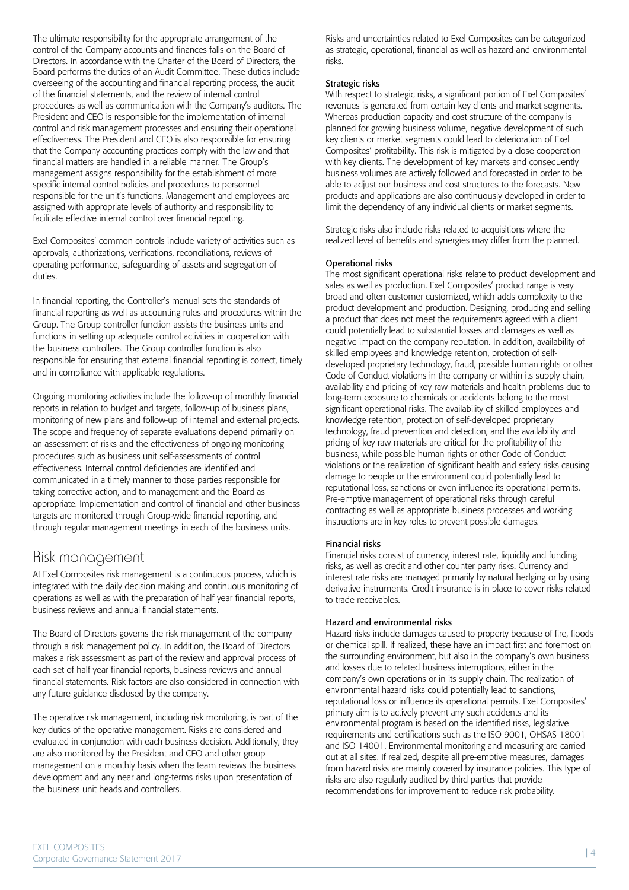The ultimate responsibility for the appropriate arrangement of the control of the Company accounts and finances falls on the Board of Directors. In accordance with the Charter of the Board of Directors, the Board performs the duties of an Audit Committee. These duties include overseeing of the accounting and financial reporting process, the audit of the financial statements, and the review of internal control procedures as well as communication with the Company's auditors. The President and CEO is responsible for the implementation of internal control and risk management processes and ensuring their operational effectiveness. The President and CEO is also responsible for ensuring that the Company accounting practices comply with the law and that financial matters are handled in a reliable manner. The Group's management assigns responsibility for the establishment of more specific internal control policies and procedures to personnel responsible for the unit's functions. Management and employees are assigned with appropriate levels of authority and responsibility to facilitate effective internal control over financial reporting.

Exel Composites' common controls include variety of activities such as approvals, authorizations, verifications, reconciliations, reviews of operating performance, safeguarding of assets and segregation of duties.

In financial reporting, the Controller's manual sets the standards of financial reporting as well as accounting rules and procedures within the Group. The Group controller function assists the business units and functions in setting up adequate control activities in cooperation with the business controllers. The Group controller function is also responsible for ensuring that external financial reporting is correct, timely and in compliance with applicable regulations.

Ongoing monitoring activities include the follow-up of monthly financial reports in relation to budget and targets, follow-up of business plans, monitoring of new plans and follow-up of internal and external projects. The scope and frequency of separate evaluations depend primarily on an assessment of risks and the effectiveness of ongoing monitoring procedures such as business unit self-assessments of control effectiveness. Internal control deficiencies are identified and communicated in a timely manner to those parties responsible for taking corrective action, and to management and the Board as appropriate. Implementation and control of financial and other business targets are monitored through Group-wide financial reporting, and through regular management meetings in each of the business units.

#### Risk management

At Exel Composites risk management is a continuous process, which is integrated with the daily decision making and continuous monitoring of operations as well as with the preparation of half year financial reports, business reviews and annual financial statements.

The Board of Directors governs the risk management of the company through a risk management policy. In addition, the Board of Directors makes a risk assessment as part of the review and approval process of each set of half year financial reports, business reviews and annual financial statements. Risk factors are also considered in connection with any future guidance disclosed by the company.

The operative risk management, including risk monitoring, is part of the key duties of the operative management. Risks are considered and evaluated in conjunction with each business decision. Additionally, they are also monitored by the President and CEO and other group management on a monthly basis when the team reviews the business development and any near and long-terms risks upon presentation of the business unit heads and controllers.

Risks and uncertainties related to Exel Composites can be categorized as strategic, operational, financial as well as hazard and environmental risks.

#### Strategic risks

With respect to strategic risks, a significant portion of Exel Composites' revenues is generated from certain key clients and market segments. Whereas production capacity and cost structure of the company is planned for growing business volume, negative development of such key clients or market segments could lead to deterioration of Exel Composites' profitability. This risk is mitigated by a close cooperation with key clients. The development of key markets and consequently business volumes are actively followed and forecasted in order to be able to adjust our business and cost structures to the forecasts. New products and applications are also continuously developed in order to limit the dependency of any individual clients or market segments.

Strategic risks also include risks related to acquisitions where the realized level of benefits and synergies may differ from the planned.

#### Operational risks

The most significant operational risks relate to product development and sales as well as production. Exel Composites' product range is very broad and often customer customized, which adds complexity to the product development and production. Designing, producing and selling a product that does not meet the requirements agreed with a client could potentially lead to substantial losses and damages as well as negative impact on the company reputation. In addition, availability of skilled employees and knowledge retention, protection of selfdeveloped proprietary technology, fraud, possible human rights or other Code of Conduct violations in the company or within its supply chain, availability and pricing of key raw materials and health problems due to long-term exposure to chemicals or accidents belong to the most significant operational risks. The availability of skilled employees and knowledge retention, protection of self-developed proprietary technology, fraud prevention and detection, and the availability and pricing of key raw materials are critical for the profitability of the business, while possible human rights or other Code of Conduct violations or the realization of significant health and safety risks causing damage to people or the environment could potentially lead to reputational loss, sanctions or even influence its operational permits. Pre-emptive management of operational risks through careful contracting as well as appropriate business processes and working instructions are in key roles to prevent possible damages.

#### Financial risks

Financial risks consist of currency, interest rate, liquidity and funding risks, as well as credit and other counter party risks. Currency and interest rate risks are managed primarily by natural hedging or by using derivative instruments. Credit insurance is in place to cover risks related to trade receivables.

#### Hazard and environmental risks

Hazard risks include damages caused to property because of fire, floods or chemical spill. If realized, these have an impact first and foremost on the surrounding environment, but also in the company's own business and losses due to related business interruptions, either in the company's own operations or in its supply chain. The realization of environmental hazard risks could potentially lead to sanctions, reputational loss or influence its operational permits. Exel Composites' primary aim is to actively prevent any such accidents and its environmental program is based on the identified risks, legislative requirements and certifications such as the ISO 9001, OHSAS 18001 and ISO 14001. Environmental monitoring and measuring are carried out at all sites. If realized, despite all pre-emptive measures, damages from hazard risks are mainly covered by insurance policies. This type of risks are also regularly audited by third parties that provide recommendations for improvement to reduce risk probability.